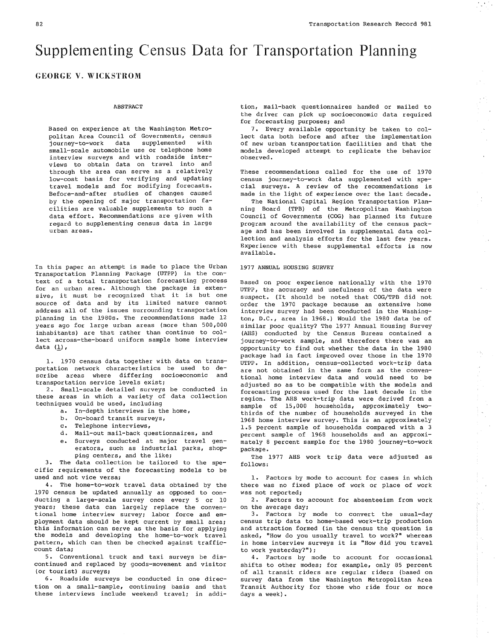$\dot{\mathbb{C}}$ 

# Supplementing Census Data for Transportation Planning

# GEORGE V. WICKSTROM

# ABSTRACT

Based on experience at the washington Metropolitan Area Council of Governments, census<br>iourney-to-work data supplemented with journey-to-work data supplemented small-scale automobile use or telephone home interview surveys and with roadsíde interviews to obtain data on travel into and through the area can serve as a relatively low-cost basis for verifying and updating travel models and for modifying forecasts. Before-and-after studies of changes caused by the opening of major transportation facilities are valuable supplements to such a data effort. Recommendations are given with regard to supplementing census data in large urban areas.

In this paper an attempt is made to place the Urban Transportation Planning Package (UTPP) in the context of a total transportation forecasting process for an urban area. ALthough the Package is extensive, it must be recognized that it is but one source of data and by its limited nature cannot address all of the issues surrounding transportation planning in the 1980s. The recommendations made 12 years ago for large urban areas (more than  $500,000$ inhabitants) are that rather than continue to collect across-the-board uniform sample home interview data  $(\underline{1})$ ,

1. 1970 census data together with data on transportation network characteristics be used to describe areas where differing socioeconomic and transportation service levels exist;

2. Small-scale detailed surveys be conducted in these areas in which a variety of data collection techniques would be used, including

- a. In-depth interviews in the home,
- b. On-board transit surveys,
- $c.$  Telephone interviews,
- d. Mail-out mail-back questionnaires, and
- e. Surveys conducted at major travel generators, such as industrial parks, shopping centers, and the like;

3. The data colLection be tailored to the specific requirements of the forecasting models to be used and not vice versa;

4. The home-to-work travel data obtained by the 1970 census be updated annually as opposed to con-<br>ducting a large-scale survey once every 5 or 10 years; these data can largely replace the conventional home interview survey; labor force and employment data should be kept current by small area; this information can serve as the basis for applying the models and developing the home-to-work travel pattern, which can then be checked against trafficcount data;

5. Conventional truck and taxi surveys be discontinued and replaced by goods-movement and visitor (or tourist) surveys;

6. Roadside surveys be conducted in one direction on a small-sample, continuing basis and that these interviews include weekend travel; in addition, mail-back questionnaires handed or mailed to the driver can pick up socioeconomic data required for forecasting purposes; and

7. Every available opportunity be taken to col-Lect data both before and after the implenentation of new urban transportation facilities and that the models developed attempt to replicate the behavior observed.

These recommendations called for the use of 1970 census journey-to-work data supplenented with special surveys. A review of the recommendations is made in the light of experience over the last decade.

The National Capital Region Transportation PIanning Board (TPB) of the Metropolitan Washington Council of Governments (COG) has planned its future program around the availability of the census package and has been involved in supplemental data col-Iection and analysis efforts for the last few years. Experience with these supplenental efforts is now available.

#### 1977 ANNUAL HOUSING SURVEY

Based on poor experience nationally with the <sup>1970</sup> UTPP, the accuracy and usefulness of the data were suspect. (It should be noted that COG/TPB did not order the 1970 package because an extensive hone interview survey had been conducted in the Washington, D.C., area in 1968.) Would the 1980 data be of similar poor guality? The 1977 Annual Housing Survey (AHS) conducted by the Census Bureau contained <sup>a</sup> journey-to-work sample, and therefore there was an opportuníty to find out whether the data in the 1980 package had ín fact inproved over those in the <sup>1970</sup> UTPP. In addition, census-collected work-trip data are not obtained in the same form as the conventional home interview data and would need to be adjusted so as to be compatible with the models and forecasting process used for the last decade in the region. The AHS work-trip data were derived from a sample of 15,000 households, approximately twothirds of the number of households surveyed in the 1968 hone interview survey. This is an approxinately 1.5 percent sanple of households conpared with a <sup>3</sup> percent sanple of 1968 households and an approximately 8 percent sample for the 1980 journey-to-work package.

The 1977 AHS work trip data were adjusted as folLows:

I. Factors by mode to account for cases in which there was no fixed place of work or place of work was not reported;

2. Factors to account for absenteeism from work on the average day;

3. Factors by mode to convert the usual-day census trip data to home-based work-trip production and attraction formed (in the census the question is asked, "How do you usually travel to work?" whereas in home interview surveys it is "How did you travel to work yesterday?");

4. Factors by node to account for occasional shifts to other modes; for example, only 85 percent of all transit riders are regular riders (based on survey data from the Washington Metropolitan Area Transit Authoríty for those who ride four or more days a week).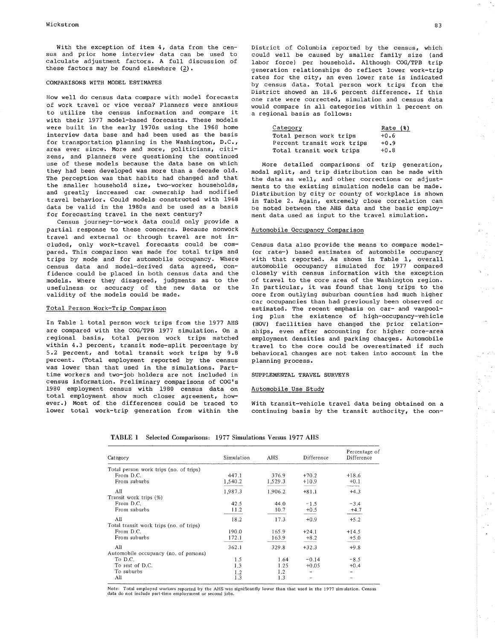With the exception of item 4, data from the census and prior home interview data can be used to calculate adjustment factors. A full discussion of these factors may be found elsewhere (2).

### COMPARISONS WITH MODEL ESTIMATES

How well do census data compare with model forecasts of work travel or vice versa? Planners were anxious to utilize the census information and compare it with their 1977 model-based forecasts. These models were built in the early 1970s using the 1968 home interview data base and had been used as the basis for transportation planning in the Washington, D.C., area ever since. More and more, politicians, citizens, and planners were questioning the continued use of these models because the data base on which they had been developed was more than a decade old. The perception was that habits had changed and that the smaller household size, two-worker households, and greatly increased car ownership had modified travel behavior. Could models constructed with 1968 data be valid in the 1980s and be used as a basis for forecasting travel in the next century?

Census journey-to-work data could only provide a partial response to these concerns. Because nonwork travel and external or through travel are not included, only work-travel forecasts could be compared. This comparison was made for total trips and trips by mode and for automobile occupancy. Where census data and model-derived data agreed, confidence could be placed in both census data and the models. Where they disagreed, judgments as to the usefulness or accuracy of the new data or the validity of the models could be made.

# Total Person Work-Trip Comparison

In Table 1 total person work trips from the 1977 AHS are compared with the COG/TPB 1977 simulation. On a regional basis, total person work trips matched within 4.3 percent, transit mode-split percentage by 5.2 percent, and total transit work trips by 9.8 percent. (Total employment reported by the census was lower than that used in the simulations. Parttime workers and two-job holders are not included in census information. Preliminary comparisons of COG's 1980 employment census with 1980 census data on total employment show much closer agreement, however.) Most of the differences could be traced to lower total work-trip generation from within the District of Columbia reported by the census, which could well be caused by smaller family size (and labor force) per household. Although COG/TPB trip generation relationships do reflect lower work-trip rates for the city, an even lower rate is indicated by census data. Total person work trips from the District showed an 18.6 percent difference. If this one rate were corrected, simulation and census data would compare in all categories within 1 percent on a regional basis as follows:

| Category                   | Rate $(8)$ |
|----------------------------|------------|
| Total person work trips    | $+0.6$     |
| Percent transit work trips | $+0.9$     |
| Total transit work trips   | $+0.8$     |

More detailed comparisons of trip generation, modal split, and trip distribution can be made with the data as well, and other corrections or adjustments to the existing simulation models can be made. Distribution by city or county of workplace is shown in Table 2. Again, extremely close correlation can be noted between the AHS data and the basic employment data used as input to the travel simulation.

#### Automobile Occupancy Comparison

Census data also provide the means to compare model-(or rate-) based estimates of automobile occupancy with that reported. As shown in Table 1, overall automobile occupancy simulated for 1977 compared closely with census information with the exception of travel to the core area of the Washington region. In particular, it was found that long trips to the core from outlying suburban counties had much higher car occupancies than had previously been observed or estimated. The recent emphasis on car- and vanpooling plus the existence of high-occupancy-vehicle (HOV) facilities have changed the prior relationships, even after accounting for higher core-area employment densities and parking charges. Automobile travel to the core could be overestimated if such behavioral changes are not taken into account in the planning process.

#### SUPPLEMENTAL TRAVEL SURVEYS

#### Automobile Use Study

With transit-vehicle travel data being obtained on a continuing basis by the transit authority, the con-

| Category                                | Simulation | AHS     | Difference | Percentage of<br>Difference |
|-----------------------------------------|------------|---------|------------|-----------------------------|
| Total person work trips (no. of trips)  |            |         |            |                             |
| From D.C.                               | 447.1      | 376.9   | $+70.2$    | $+18.6$                     |
| From suburbs                            | 1,540.2    | 1,529.3 | $+10.9$    | $+0.1$                      |
| All                                     | 1,987.3    | 1,906.2 | $+81.1$    | $+4.3$                      |
| Transit work trips (%)                  |            |         |            |                             |
| From D.C.                               | 42.5       | 44.0    | $-1.5$     | $-3.4$                      |
| From suburbs                            | 11.2       | 10.7    | $+0.5$     | $+4.7$                      |
| All                                     | 18.2       | 17.3    | $+0.9$     | $+5.2$                      |
| Total transit work trips (no. of trips) |            |         |            |                             |
| From D.C.                               | 190.0      | 165.9   | $+24.1$    | $+14.5$                     |
| From suburbs                            | 172.1      | 163.9   | $+8.2$     | $+5.0$                      |
| All                                     | 362.1      | 329.8   | $+32.3$    | $+9.8$                      |
| Automobile occupancy (no. of persons)   |            |         |            |                             |
| To D.C.                                 | 1.5        | 1.64    | $-0.14$    | $-8.5$                      |
| To rest of D.C.                         | 1.3        | 1.25    | $+0.05$    | $+0.4$                      |
| To suburbs                              | 1.2        | 1.2     |            |                             |
| All                                     | 1.3        | 1.3     |            |                             |

TABLE 1 Selected Comparisons: 1977 Simulations Versus 1977 AHS

Note: Total employed workers reported by the AHS was significantly lower than that used in the 1977 simulation. Census<br>data do not include part-time employment or second jobs.

 $\frac{1}{2} \sum_{i=1}^{n} \frac{1}{i} \sum_{j=1}^{n} \frac{1}{j} \sum_{j=1}^{n} \frac{1}{j} \sum_{j=1}^{n} \frac{1}{j} \sum_{j=1}^{n} \frac{1}{j} \sum_{j=1}^{n} \frac{1}{j} \sum_{j=1}^{n} \frac{1}{j} \sum_{j=1}^{n} \frac{1}{j} \sum_{j=1}^{n} \frac{1}{j} \sum_{j=1}^{n} \frac{1}{j} \sum_{j=1}^{n} \frac{1}{j} \sum_{j=1}^{n} \frac{1}{j} \sum_{j=1}^{n$ 

 $\sigma = \sigma^2$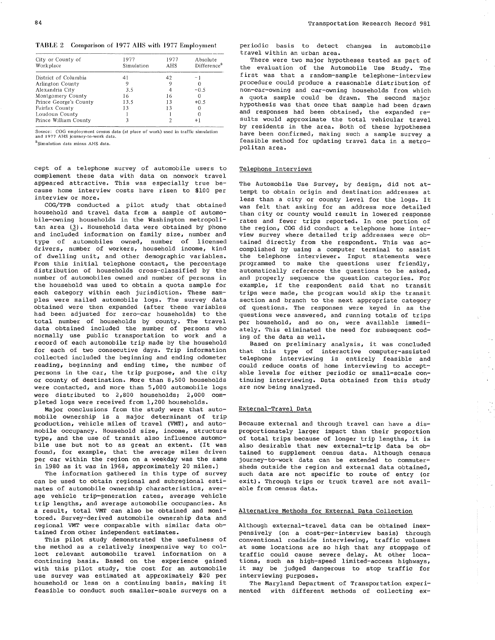| City or County of<br>Workplace | 1977<br>Simulation | 1977<br>AHS | Absolute<br>Difference <sup>a</sup> |
|--------------------------------|--------------------|-------------|-------------------------------------|
| District of Columbia           | 41                 | 42          | - 1                                 |
| Arlington County               |                    |             |                                     |
| Alexandria City                | 3.5                |             | $-0.5$                              |
| Montgomery County              | 16                 | 16          |                                     |
| Prince George's County         | 13.5               | 13          | $+0.5$                              |
| Fairfax County                 | 13                 | 13          |                                     |
| Loudoun County                 |                    |             |                                     |
| Prince William County          |                    |             | $^{+1}$                             |

Source: COG employment census data (at place of work) used in traffic simulation and 1977 AHS journey-to-work data.

<sup>a</sup>Simulation data minus AHS data.

cept of a telephone survey of automobile users to complement these data with data on nonwork travel appeared attractive. This was especially true because home interview costs have risen to \$100 per interview or more.

COG/TPB conducted a pilot study that obtained household and travel data from a sample of automobile-owning households in the Washington netropolitan area (3). Household data were obtained by phone and included information on fanily size, nunber and type of automobiles owned, number of licensed drivers, number of workers, household income, kind of dwelling unit, and other demographic variables. Fron this initial telephone contact, the percentage distribution of households cross-classified by the number of automobiles owned and number of persons in the household was used to obtain a quota sample for each category within each jurisdiction. These samples were mailed automobile logs. The survey data obtained were then expanded (after these variables had been adjusted for zero-car households) to the total number of households by county. The travel data obtained included the number of persons who normally use public transportation to work and <sup>a</sup> record of each automobile trip nade by the household for each of two consecutive days. Trip information collected included the beginning and ending odoneter reading, beginning and ending time, the number of persons in the car, the trip purpose, and the city or county of destination. More than 8,500 households were contacted, and more than 5,000 automobile logs were distributed to  $2,800$  households;  $2,000$  completed logs were received from 1,200 households.

Major conclusions from the study were that automobile ownership is a major determinant of trip production, vehicle miles of travel (VMT), and automobile occupancy. Household size, incone, structure type, and the use of transit also influence automoeffer, and the doc of crances also influence accomfound, for example, that the average miles driven per car within the region on a weekday was the same in 1980 as it was in 1968, approximately 20 miles.)

The information gathered in this type of survey can be used to obtain regional and subregional estimates of automobile ownership characteristics, average vehicle trip-generation rates, average vehicle trip lengths, and average autonobile occupancies. As a result, total VMT can also be obtained and monitored. Survey-derived autonobile ownership data and regional VMT were comparable with similar data obtained from other independent estimates.

This pilot study demonstrated the usefulness of the method as a relatively inexpensive way to collect relevant automobile travel information on a continuing basis. Based on the experience gained with this pilot study, the cost for an automobile use survey was estimated at approximately \$20 per household or less on a continuing basis, making it feasible to conduct such smaller-scale surveys on a

Periodic basis to detect changes in automobile travel within an urban area.

There were two major hypotheses tested as part of the evaluation of the Automobile Use Study. The first was that a random-sample telephone-interview procedure could produce a reasonable distribution of non-car-owning and car-owning households from which a quota sample could be drawn. The second major hypothesis was that once that sample had been drawn and responses had been obtained, the expanded results would approximate the total vehicular travel by residents in the area. Both of these hypotheses have been confirmed, making such a sample survey a feasible method for updating travel data in a metro-politan area.

#### Telephone Interviews

The Automobile Use Survey, by design, did not attempt to obtain origin and destination addresses at less than a city or county level for the logs. It was felt that asking for an address more detailed than city or county would result in lowered response rates and fewer trips reported. In one portion of the region, COG did conduct a telephone home interview survey where detailed trip addresses were obtained directly from the respondent. This was accomplished by using a conputer terminal to assist the telephone interviewer. Input statements were programmed to make the questions user friendly, automatically reference the questions to be asked, and properly sequence the question categories. For example, if the respondent said that no transit trips were made, the program would skip the transit section and branch to the next appropriate category of questions. The responses were keyed in as the questions were answered, and running totals of trips per household, and so on, were available immediately. This eliminated the need for subsequent coding of the data as well.

Based on preliminary analysis, it was concluded that this type of interactive conputer-assisted telePhone interviewing is entirely feasible and could reduce costs of home interviewing to acceptable levels for either periodic or small-sca1e continuing interviewing. Data obtained from this study are now being analyzed.

 $\mathcal{L}$ 

 $\sim$   $\sim$ 

#### External-Travel Data

Because external and through travel can have a disproportionately larger impact than their proportion of total trips because of longer trip lengths, it is<br>also desirable that new external-trip data be obtained to supplement census data. Although census journey-to-work data can be extended to commutersheds outside the region and external data obtained, such data are not specific to route of entry (or exit). Through trips or truck travel are not available from census data.

# Alternative Methods for External Data Collection

Although external-travel data can be obtained inexpensively (on a cost-per-interview basis) through conventional roadside interviewing, traffic volumes at some locations are so high that any stoppage of<br>traffic could cause severe delay. At other locations, such as high-speed limited-access highways, it may be judged dangerous to stop traffic for interviewing purposes.

The Maryland Department of Transportation experimented with different methods of collecting ex-